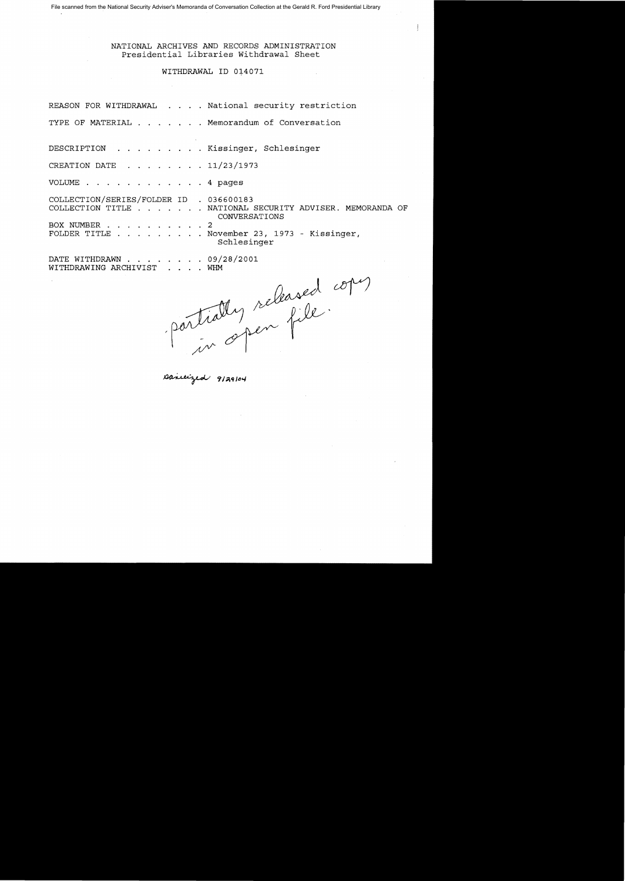File scanned from the National Security Adviser's Memoranda of Conversation Collection at the Gerald R. Ford Presidential Library

NATIONAL ARCHIVES AND RECORDS ADMINISTRATION Presidential Libraries Withdrawal Sheet

# WITHDRAWAL ID 014071

|                                                                |  | REASON FOR WITHDRAWAL National security restriction                       |
|----------------------------------------------------------------|--|---------------------------------------------------------------------------|
|                                                                |  | TYPE OF MATERIAL Memorandum of Conversation                               |
| DESCRIPTION Kissinger, Schlesinger                             |  |                                                                           |
| CREATION DATE $\ldots$ $\ldots$ $\ldots$ $\frac{11}{23}{1973}$ |  |                                                                           |
| VOLUME 4 pages                                                 |  |                                                                           |
| COLLECTION/SERIES/FOLDER ID . 036600183                        |  |                                                                           |
|                                                                |  | COLLECTION TITLE NATIONAL SECURITY ADVISER. MEMORANDA OF<br>CONVERSATIONS |
| BOX NUMBER 2                                                   |  |                                                                           |
|                                                                |  | FOLDER TITLE November 23, 1973 - Kissinger,<br>Schlesinger                |
| DATE WITHDRAWN 09/28/2001<br>WITHDRAWING ARCHIVIST WHM         |  |                                                                           |

parisized 9129104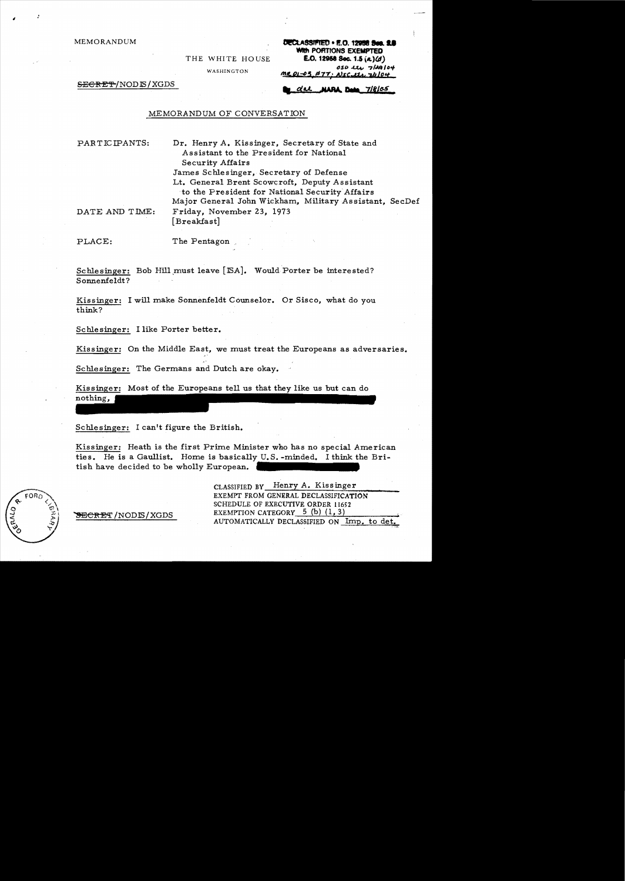**MEMORANDUM** 

THE WHITE HOUSE

WASHINGTON

DECLASSIFIED . E.O. 12958 Sec. 2. WIth PORTIONS EXEMPTED E.O. 12958 Sec. 1.5 (a)(d) 050 lts 7/29/04 <u>MR.01-03 #77: NSC 111, 74104</u>

SEGRET/NODE/XGDS

NARA Dete 7/8/05 <u>du </u>

### MEMORANDUM OF CONVERSATION

PARTICIPANTS: Dr. Henry A. Kissinger, Secretary of State and Assistant to the President for National Security Affairs James Schlesinger, Secretary of Defense Lt. General Brent Scowcroft, Deputy Assistant to the President for National Security Affairs Major General John Wickham, Military Assistant, SecDef DATE AND TIME: Friday, November 23, 1973 [Breakfast]

PLACE:

The Pentagon

Schlesinger: Bob Hill must leave [ISA]. Would Porter be interested? Sonnenfeldt?

Kissinger: I will make Sonnenfeldt Counselor. Or Sisco, what do you think?

Schlesinger: I like Porter better.

Kissinger: On the Middle East, we must treat the Europeans as adversaries.

Schlesinger: The Germans and Dutch are okay.

Kissinger: Most of the Europeans tell us that they like us but can do nothing,

Schlesinger: I can't figure the British.

Kissinger: Heath is the first Prime Minister who has no special American ties. He is a Gaullist. Home is basically U.S.-minded. I think the British have decided to be wholly European.



<del>SECRET</del> /NODIS/XGDS

CLASSIFIED BY Henry A. Kissinger EXEMPT FROM GENERAL DECLASSIFICATION SCHEDULE OF EXECUTIVE ORDER 11652 EXEMPTION CATEGORY  $5$  (b) (1, 3) AUTOMATICALLY DECLASSIFIED ON Imp. to det.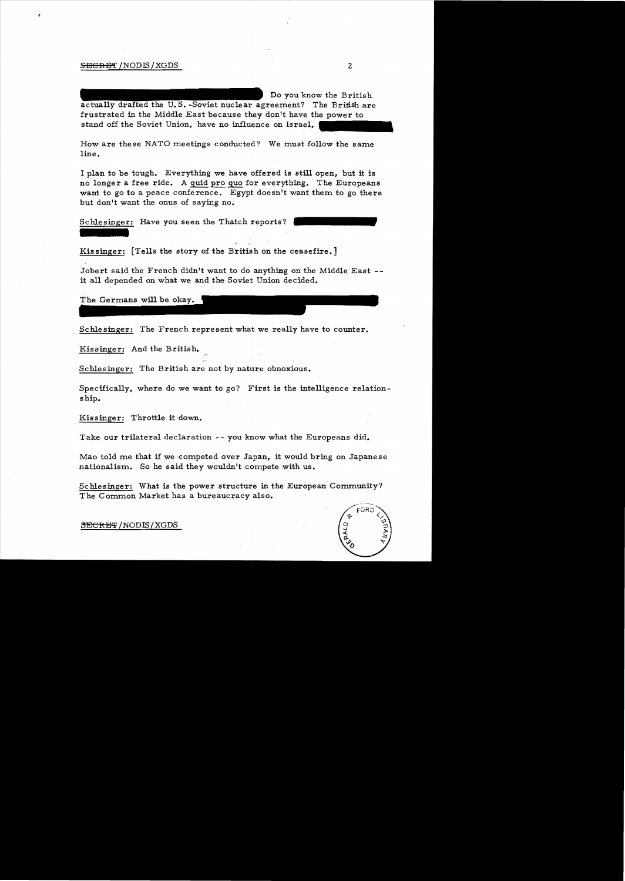## S<del>ECRE</del>T/NODIS/XGDS 2

Do you know the British actually drafted the U.S.-Soviet nuclear agreement? The British are frustrated in the Middle East because they don't have the power to stand off the Soviet Union, have no influence on Israel,

How are these NATO meetings conducted? We must follow the same line.

I plan to be tough. Everything we have offered is still open, but it is no longer a free ride. A quid pro quo for everything. The Europeans want to go to a peace conference. Egypt doesn't want them to go there but don't want the onus of saying no.

Schlesinger: Have you seen the Thatch reports?

Kissinger: [Tells the story of the British on the ceasefire.]

Jobert said the French didn't want to do anything on the Middle East -it all depended on what we and the Soviet Union decided.

The Germans will be okay.

Schlesinger: The French represent what we really have to counter.

Kissinger: And the British.

Schlesinger: The British are not by nature obnoxious.

Specifically, where do we want to go? First is the intelligence relation ship.

Kissinger: Throttle it down.

Take our trilateral declaration -- you know what the Europeans did.

Mao told me that if we competed over Japan, it would bring on Japanese nationalism. So he said they wouldn't compete with us.

Schlesinger: What is the power structure in the European Community? The Common Market has a bureaucracy also.

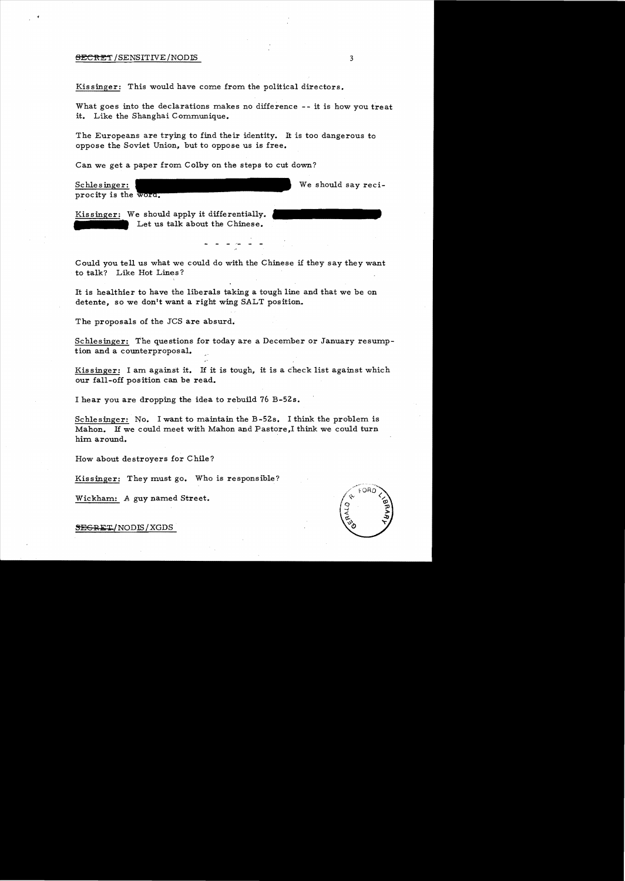#### <del>BECRET</del>/SENSITIVE/NODLS 3

Kissinger: This would have come from the political directors.

What goes into the declarations makes no difference - it is how you treat it. Like the Shanghai Communique.

The Europeans are trying to find their identity. It is too dangerous to oppose the Soviet Union, but to oppose us is free.

Can we get a paper from Colby on the steps to cut down?

Schlesinger: procity is the word, We should say reci-

Kissinger: We should apply it differentially. Let us talk about the Chinese.

Could you tell us what we could do with the Chinese if they say they want to talk? Like Hot Lines?

It is healthier to have the liberals taking a tough line and that we be on detente, so we don't want a right wing SALT position.

The proposals of the JCS are absurd.

Schlesinger: The questions for today are a December or January resumption and a counterproposal.

Kissinger: I am against it. If it is tough, it is a check list against which our fall-off position can be read.

I hear you are dropping the idea to rebuild 76 B-52s.

Schlesinger: No. I want to maintain the B-52s. I think the problem is Mahon. H we could meet with Mahon and Pastore,I think we could turn him around.

How about destroyers for Chile?

Kissinger: They must go. Who is responsible?

Wickham: A guy named Street.

~GRET/NODLS/XGDS

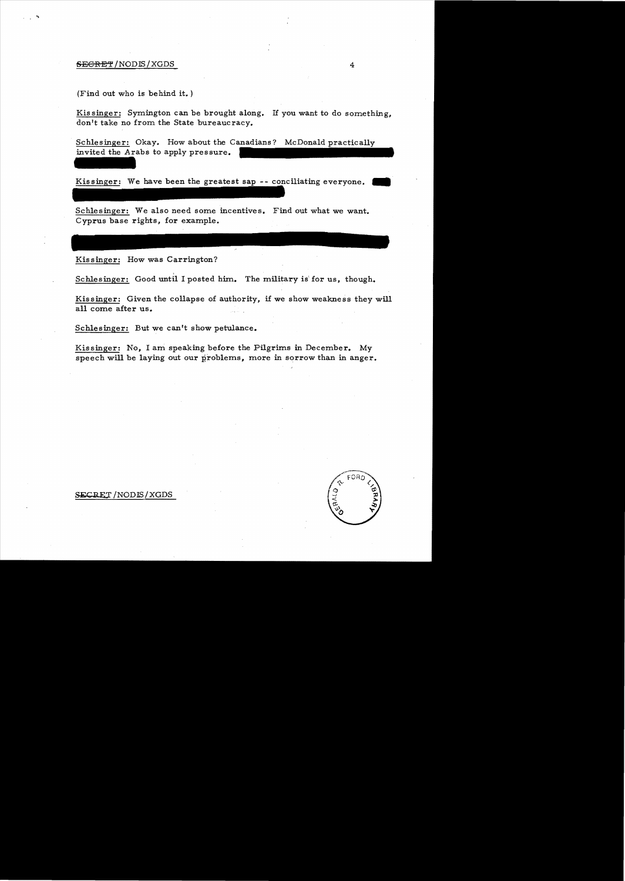## SECRET/NODIS/XGDS 4

...

(Find out who is behind it. )

Kis singer: Symington can be brought along. If you want to do something, don't take no from the State bureaucracy.

Schlesinger: Okay. How about the Canadians? McDonald practically invited the Arabs to apply pressure.

Kissinger: We have been the greatest sap -- conciliating everyone.

Schlesinger: We also need some incentives. Find out what we want. Cyprus base rights, for example.

Kissinger: How was Carrington?

Schlesinger: Good until I posted him. The military is' for us, though.

Kissinger: Given the collapse of authority, if we show weakness they will all come after us.

Schlesinger: But we can't show petulance.

Kissinger: No, I am speaking before the Pilgrims in December. My speech will be laying out our problems, more in sorrow than in anger.

SECRET/NODIS/XGDS